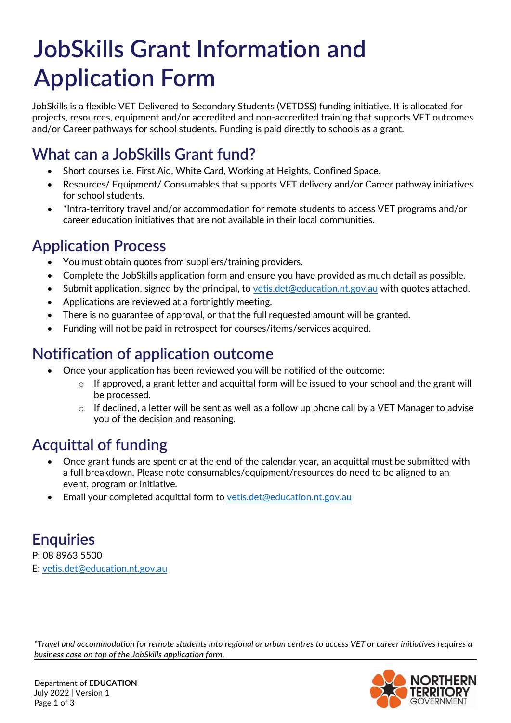# **JobSkills Grant Information and Application Form**

JobSkills is a flexible VET Delivered to Secondary Students (VETDSS) funding initiative. It is allocated for projects, resources, equipment and/or accredited and non-accredited training that supports VET outcomes and/or Career pathways for school students. Funding is paid directly to schools as a grant.

### **What can a JobSkills Grant fund?**

- Short courses i.e. First Aid, White Card, Working at Heights, Confined Space.
- Resources/ Equipment/ Consumables that supports VET delivery and/or Career pathway initiatives for school students.
- \*Intra-territory travel and/or accommodation for remote students to access VET programs and/or career education initiatives that are not available in their local communities.

## **Application Process**

- You must obtain quotes from suppliers/training providers.
- Complete the JobSkills application form and ensure you have provided as much detail as possible.
- Submit application, signed by the principal, to [vetis.det@education.nt.gov.au](mailto:vetis.det@education.nt.gov.au) with quotes attached.
- Applications are reviewed at a fortnightly meeting.
- There is no guarantee of approval, or that the full requested amount will be granted.
- Funding will not be paid in retrospect for courses/items/services acquired.

## **Notification of application outcome**

- Once your application has been reviewed you will be notified of the outcome:
	- $\circ$  If approved, a grant letter and acquittal form will be issued to your school and the grant will be processed.
	- o If declined, a letter will be sent as well as a follow up phone call by a VET Manager to advise you of the decision and reasoning.

# **Acquittal of funding**

- Once grant funds are spent or at the end of the calendar year, an acquittal must be submitted with a full breakdown. Please note consumables/equipment/resources do need to be aligned to an event, program or initiative*.*
- Email your completed acquittal form to [vetis.det@education.nt.gov.au](mailto:vetis.det@education.nt.gov.au)

# **Enquiries**

P: 08 8963 5500 E: [vetis.det@education.nt.gov.au](mailto:vetis.det@education.nt.gov.au)

*\*Travel and accommodation for remote students into regional or urban centres to access VET or career initiatives requires a business case on top of the JobSkills application form.* 

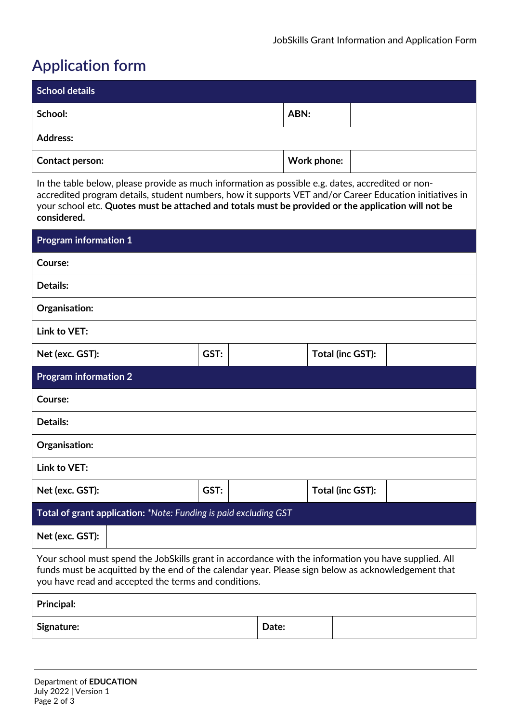## **Application form**

| <b>School details</b>  |             |  |
|------------------------|-------------|--|
| School:                | ABN:        |  |
| <b>Address:</b>        |             |  |
| <b>Contact person:</b> | Work phone: |  |

In the table below, please provide as much information as possible e.g. dates, accredited or nonaccredited program details, student numbers, how it supports VET and/or Career Education initiatives in your school etc. **Quotes must be attached and totals must be provided or the application will not be considered.**

| <b>Program information 1</b>                                     |      |  |                  |  |  |
|------------------------------------------------------------------|------|--|------------------|--|--|
| Course:                                                          |      |  |                  |  |  |
| <b>Details:</b>                                                  |      |  |                  |  |  |
| Organisation:                                                    |      |  |                  |  |  |
| Link to VET:                                                     |      |  |                  |  |  |
| Net (exc. GST):                                                  | GST: |  | Total (inc GST): |  |  |
| <b>Program information 2</b>                                     |      |  |                  |  |  |
| Course:                                                          |      |  |                  |  |  |
| <b>Details:</b>                                                  |      |  |                  |  |  |
| Organisation:                                                    |      |  |                  |  |  |
| Link to VET:                                                     |      |  |                  |  |  |
| Net (exc. GST):                                                  | GST: |  | Total (inc GST): |  |  |
| Total of grant application: *Note: Funding is paid excluding GST |      |  |                  |  |  |
| Net (exc. GST):                                                  |      |  |                  |  |  |

Your school must spend the JobSkills grant in accordance with the information you have supplied. All funds must be acquitted by the end of the calendar year. Please sign below as acknowledgement that you have read and accepted the terms and conditions.

| <b>Principal:</b> |       |  |
|-------------------|-------|--|
| <b>Signature:</b> | Date: |  |